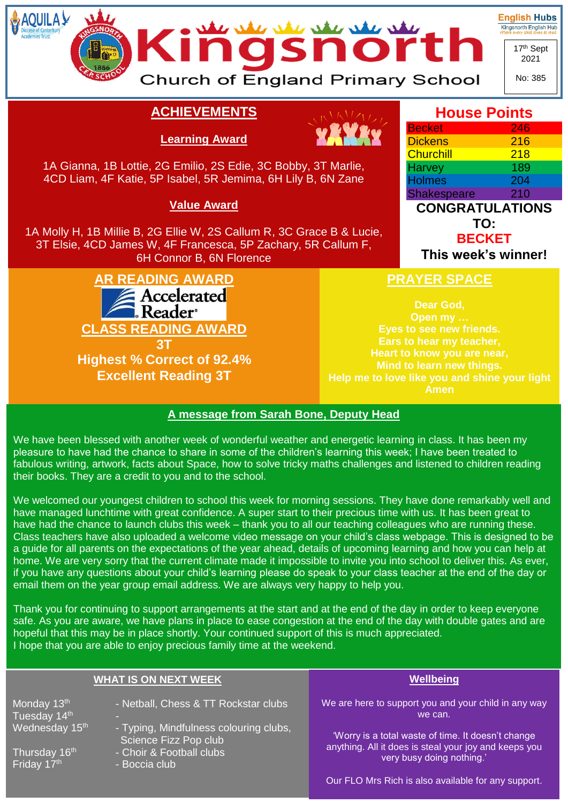

## **ACHIEVEMENTS**

#### **Learning Award**



1A Gianna, 1B Lottie, 2G Emilio, 2S Edie, 3C Bobby, 3T Marlie, 4CD Liam, 4F Katie, 5P Isabel, 5R Jemima, 6H Lily B, 6N Zane

#### **Value Award**

1A Molly H, 1B Millie B, 2G Ellie W, 2S Callum R, 3C Grace B & Lucie, 3T Elsie, 4CD James W, 4F Francesca, 5P Zachary, 5R Callum F, 6H Connor B, 6N Florence

> **AR READING AWARD**  $\equiv$  Accelerated Reader<sup>®</sup> **CLASS READING AWARD 3T Highest % Correct of 92.4% Excellent Reading 3T**

# **House Points**

| <b>Becket</b>      | 246 |
|--------------------|-----|
| <b>Dickens</b>     | 216 |
| <b>Churchill</b>   | 218 |
| <b>Harvey</b>      | 189 |
| <b>Holmes</b>      | 204 |
| <b>Shakespeare</b> | 210 |

**CONGRATULATIONS TO: BECKET**

**This week's winner!**

### **PRAYER SPACE**

**Dear God, Open my … Eyes to see new friends. Mind to learn new things. Help me to love like you and shine your light Amen**

### **A message from Sarah Bone, Deputy Head**

We have been blessed with another week of wonderful weather and energetic learning in class. It has been my pleasure to have had the chance to share in some of the children's learning this week; I have been treated to fabulous writing, artwork, facts about Space, how to solve tricky maths challenges and listened to children reading their books. They are a credit to you and to the school.

We welcomed our youngest children to school this week for morning sessions. They have done remarkably well and have managed lunchtime with great confidence. A super start to their precious time with us. It has been great to have had the chance to launch clubs this week – thank you to all our teaching colleagues who are running these. Class teachers have also uploaded a welcome video message on your child's class webpage. This is designed to be a guide for all parents on the expectations of the year ahead, details of upcoming learning and how you can help at home. We are very sorry that the current climate made it impossible to invite you into school to deliver this. As ever, if you have any questions about your child's learning please do speak to your class teacher at the end of the day or email them on the year group email address. We are always very happy to help you.

Thank you for continuing to support arrangements at the start and at the end of the day in order to keep everyone safe. As you are aware, we have plans in place to ease congestion at the end of the day with double gates and are hopeful that this may be in place shortly. Your continued support of this is much appreciated. I hope that you are able to enjoy precious family time at the weekend.

#### **WHAT IS ON NEXT WEEK**

Monday 13<sup>th</sup> Tuesday 14<sup>th</sup> Wednesday 15<sup>th</sup>

Thursday 16th

Friday 17<sup>th</sup>

- Netball, Chess & TT Rockstar clubs

- Typing, Mindfulness colouring clubs, Science Fizz Pop club
	- Choir & Football clubs
	- Boccia club

#### **Wellbeing**

We are here to support you and your child in any way we can.

'Worry is a total waste of time. It doesn't change anything. All it does is steal your joy and keeps you very busy doing nothing.'

Our FLO Mrs Rich is also available for any support.